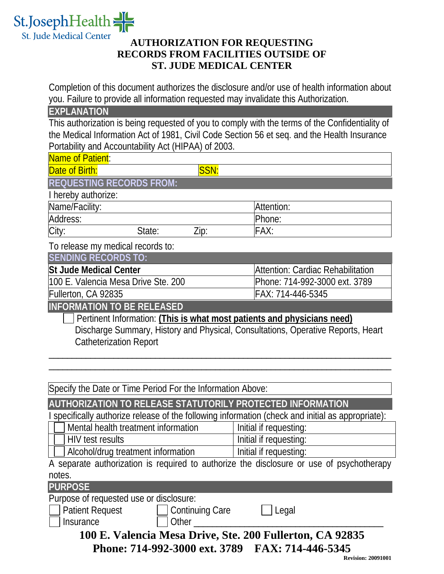

## **AUTHORIZATION FOR REQUESTING RECORDS FROM FACILITIES OUTSIDE OF ST. JUDE MEDICAL CENTER**

Completion of this document authorizes the disclosure and/or use of health information about you. Failure to provide all information requested may invalidate this Authorization.

**EXPLANATION**

This authorization is being requested of you to comply with the terms of the Confidentiality of the Medical Information Act of 1981, Civil Code Section 56 et seq. and the Health Insurance Portability and Accountability Act (HIPAA) of 2003.

| Name of Patient:                                                                                                                                                                                                                            |                                   |  |  |  |  |  |
|---------------------------------------------------------------------------------------------------------------------------------------------------------------------------------------------------------------------------------------------|-----------------------------------|--|--|--|--|--|
| SSN:<br>Date of Birth:                                                                                                                                                                                                                      |                                   |  |  |  |  |  |
| <b>REQUESTING RECORDS FROM:</b>                                                                                                                                                                                                             |                                   |  |  |  |  |  |
| I hereby authorize:                                                                                                                                                                                                                         |                                   |  |  |  |  |  |
| Name/Facility:                                                                                                                                                                                                                              | Attention:                        |  |  |  |  |  |
| Address:                                                                                                                                                                                                                                    | Phone:                            |  |  |  |  |  |
| City:<br>State:<br>Zip:                                                                                                                                                                                                                     | FAX:                              |  |  |  |  |  |
| To release my medical records to:                                                                                                                                                                                                           |                                   |  |  |  |  |  |
| <b>SENDING RECORDS TO:</b>                                                                                                                                                                                                                  |                                   |  |  |  |  |  |
| <b>St Jude Medical Center</b>                                                                                                                                                                                                               | Attention: Cardiac Rehabilitation |  |  |  |  |  |
| 100 E. Valencia Mesa Drive Ste. 200                                                                                                                                                                                                         | Phone: 714-992-3000 ext. 3789     |  |  |  |  |  |
| Fullerton, CA 92835                                                                                                                                                                                                                         | FAX: 714-446-5345                 |  |  |  |  |  |
| <b>INFORMATION TO BE RELEASED</b>                                                                                                                                                                                                           |                                   |  |  |  |  |  |
| Discharge Summary, History and Physical, Consultations, Operative Reports, Heart<br><b>Catheterization Report</b>                                                                                                                           |                                   |  |  |  |  |  |
| Specify the Date or Time Period For the Information Above:                                                                                                                                                                                  |                                   |  |  |  |  |  |
| AUTHORIZATION TO RELEASE STATUTORILY PROTECTED INFORMATION                                                                                                                                                                                  |                                   |  |  |  |  |  |
| specifically authorize release of the following information (check and initial as appropriate):                                                                                                                                             |                                   |  |  |  |  |  |
| Mental health treatment information                                                                                                                                                                                                         | Initial if requesting:            |  |  |  |  |  |
| <b>HIV test results</b>                                                                                                                                                                                                                     | Initial if requesting:            |  |  |  |  |  |
| Alcohol/drug treatment information                                                                                                                                                                                                          | Initial if requesting:            |  |  |  |  |  |
| A separate authorization is required to authorize the disclosure or use of psychotherapy                                                                                                                                                    |                                   |  |  |  |  |  |
| notes                                                                                                                                                                                                                                       |                                   |  |  |  |  |  |
| <b>PURPOSE</b>                                                                                                                                                                                                                              |                                   |  |  |  |  |  |
| Purpose of requested use or disclosure:                                                                                                                                                                                                     |                                   |  |  |  |  |  |
| <b>Patient Request</b><br><b>Continuing Care</b>                                                                                                                                                                                            | $\Box$ Legal                      |  |  |  |  |  |
| Insurance<br>Other the contract of the contract of the contract of the contract of the contract of the contract of the contract of the contract of the contract of the contract of the contract of the contract of the contract of the cont |                                   |  |  |  |  |  |
| 100 F Valencia Mesa Drive Ste 200 Fullerton CA 02835                                                                                                                                                                                        |                                   |  |  |  |  |  |

**100 E. Valencia Mesa Drive, Ste. 200 Fullerton, CA 92835 Phone: 714-992-3000 ext. 3789 FAX: 714-446-5345**